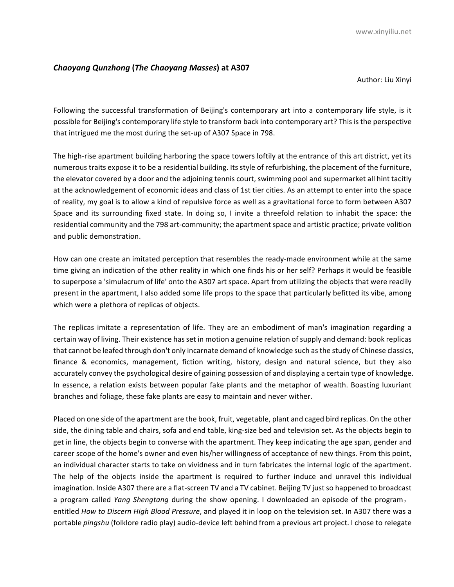## *Chaoyang Qunzhong* **(***The Chaoyang Masses***) at A307**

Author: Liu Xinyi

Following the successful transformation of Beijing's contemporary art into a contemporary life style, is it possible for Beijing's contemporary life style to transform back into contemporary art? This is the perspective that intrigued me the most during the set-up of A307 Space in 798.

The high-rise apartment building harboring the space towers loftily at the entrance of this art district, yet its numerous traits expose it to be a residential building. Its style of refurbishing, the placement of the furniture, the elevator covered by a door and the adjoining tennis court, swimming pool and supermarket all hint tacitly at the acknowledgement of economic ideas and class of 1st tier cities. As an attempt to enter into the space of reality, my goal is to allow a kind of repulsive force as well as a gravitational force to form between A307 Space and its surrounding fixed state. In doing so, I invite a threefold relation to inhabit the space: the residential community and the 798 art-community; the apartment space and artistic practice; private volition and public demonstration.

How can one create an imitated perception that resembles the ready-made environment while at the same time giving an indication of the other reality in which one finds his or her self? Perhaps it would be feasible to superpose a 'simulacrum of life' onto the A307 art space. Apart from utilizing the objects that were readily present in the apartment, I also added some life props to the space that particularly befitted its vibe, among which were a plethora of replicas of objects.

The replicas imitate a representation of life. They are an embodiment of man's imagination regarding a certain way of living. Their existence has set in motion a genuine relation of supply and demand: book replicas that cannot be leafed through don't only incarnate demand of knowledge such as the study of Chinese classics, finance & economics, management, fiction writing, history, design and natural science, but they also accurately convey the psychological desire of gaining possession of and displaying a certain type of knowledge. In essence, a relation exists between popular fake plants and the metaphor of wealth. Boasting luxuriant branches and foliage, these fake plants are easy to maintain and never wither.

Placed on one side of the apartment are the book, fruit, vegetable, plant and caged bird replicas. On the other side, the dining table and chairs, sofa and end table, king-size bed and television set. As the objects begin to get in line, the objects begin to converse with the apartment. They keep indicating the age span, gender and career scope of the home's owner and even his/her willingness of acceptance of new things. From this point, an individual character starts to take on vividness and in turn fabricates the internal logic of the apartment. The help of the objects inside the apartment is required to further induce and unravel this individual imagination. Inside A307 there are a flat-screen TV and a TV cabinet. Beijing TV just so happened to broadcast a program called *Yang Shengtang* during the show opening. I downloaded an episode of the program, entitled *How to Discern High Blood Pressure*, and played it in loop on the television set. In A307 there was a portable *pingshu* (folklore radio play) audio-device left behind from a previous art project. I chose to relegate